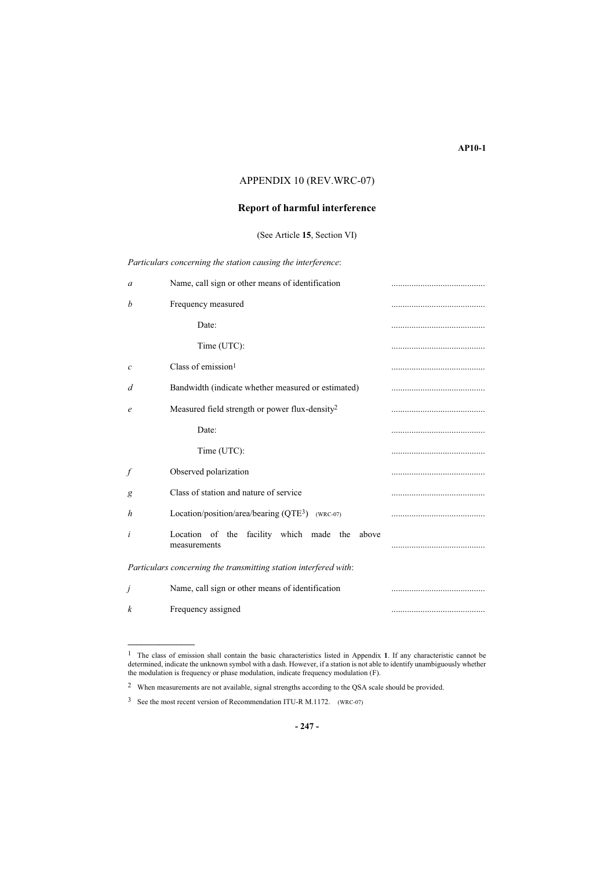## APPENDIX 10 (REV.WRC-07)

## **Report of harmful interference**

(See Article **15**, Section VI)

| Particulars concerning the station causing the interference: |  |  |  |
|--------------------------------------------------------------|--|--|--|
|                                                              |  |  |  |

| a                     | Name, call sign or other means of identification                 |  |
|-----------------------|------------------------------------------------------------------|--|
| b                     | Frequency measured                                               |  |
|                       | Date:                                                            |  |
|                       | Time (UTC):                                                      |  |
| $\mathcal{C}_{0}^{2}$ | Class of emission $1$                                            |  |
| d                     | Bandwidth (indicate whether measured or estimated)               |  |
| e                     | Measured field strength or power flux-density <sup>2</sup>       |  |
|                       | Date:                                                            |  |
|                       | Time (UTC):                                                      |  |
| f                     | Observed polarization                                            |  |
| g                     | Class of station and nature of service                           |  |
| h                     | Location/position/area/bearing $(QTE^3)$ (wrc-07)                |  |
| i                     | Location of the facility which made the<br>above<br>measurements |  |
|                       | Particulars concerning the transmitting station interfered with: |  |
| j                     | Name, call sign or other means of identification                 |  |
| k                     | Frequency assigned                                               |  |

**\_\_\_\_\_\_\_\_\_\_\_\_\_\_\_**

<sup>1</sup> The class of emission shall contain the basic characteristics listed in Appendix **1**. If any characteristic cannot be determined, indicate the unknown symbol with a dash. However, if a station is not able to identify unambiguously whether the modulation is frequency or phase modulation, indicate frequency modulation (F).

<sup>2</sup> When measurements are not available, signal strengths according to the QSA scale should be provided.

<sup>3</sup> See the most recent version of Recommendation ITU-R M.1172. (WRC-07)